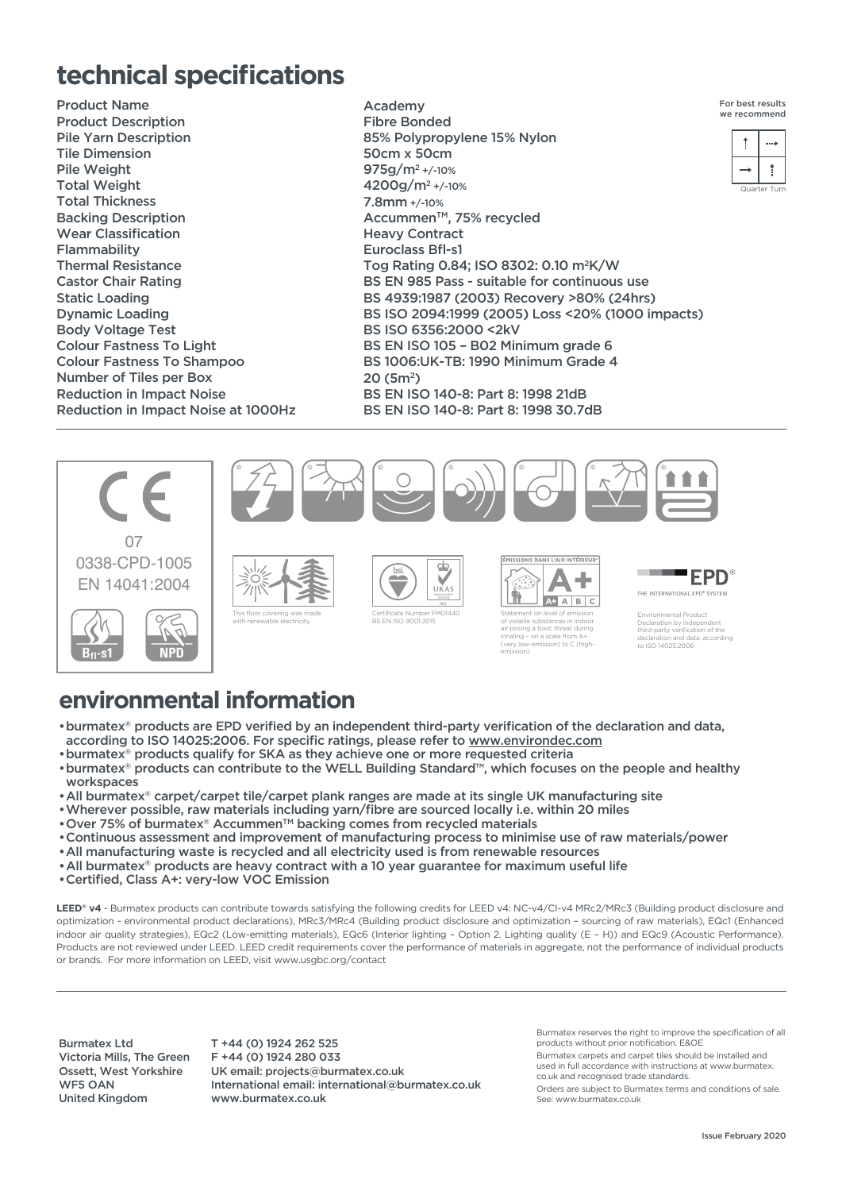## **technical specifications**

Product Name Product Description Pile Yarn Description Tile Dimension Pile Weight Total Weight Total Thickness Backing Description Wear Classification Flammability Thermal Resistance Castor Chair Rating Static Loading Dynamic Loading Body Voltage Test Colour Fastness To Light Colour Fastness To Shampoo Number of Tiles per Box Reduction in Impact Noise Reduction in Impact Noise at 1000Hz

Academy Fibre Bonded 85% Polypropylene 15% Nylon 50cm x 50cm 975g/m2 +/-10% 4200g/m2 +/-10% 7.8mm +/-10% Accummen<sup>™</sup>, 75% recycled Heavy Contract Euroclass Bfl-s1 Tog Rating 0.84; ISO 8302: 0.10 m2K/W BS EN 985 Pass - suitable for continuous use BS 4939:1987 (2003) Recovery >80% (24hrs) BS ISO 2094:1999 (2005) Loss <20% (1000 impacts) BS ISO 6356:2000 <2kV BS EN ISO 105 – B02 Minimum grade 6 BS 1006:UK-TB: 1990 Minimum Grade 4 20 (5m2) BS EN ISO 140-8: Part 8: 1998 21dB BS EN ISO 140-8: Part 8: 1998 30.7dB



## **environmental information**

- •burmatex® products are EPD verified by an independent third-party verification of the declaration and data, according to ISO 14025:2006. For specific ratings, please refer to www.environdec.com
- •burmatex® products qualify for SKA as they achieve one or more requested criteria
- •burmatex® products can contribute to the WELL Building Standard™, which focuses on the people and healthy workspaces
- •All burmatex® carpet/carpet tile/carpet plank ranges are made at its single UK manufacturing site
- •Wherever possible, raw materials including yarn/fibre are sourced locally i.e. within 20 miles
- •Over 75% of burmatex® AccummenTM backing comes from recycled materials
- •Continuous assessment and improvement of manufacturing process to minimise use of raw materials/power
- •All manufacturing waste is recycled and all electricity used is from renewable resources
- •All burmatex® products are heavy contract with a 10 year guarantee for maximum useful life
- •Certified, Class A+: very-low VOC Emission

LEED<sup>®</sup> v4 - Burmatex products can contribute towards satisfying the following credits for LEED v4: NC-v4/CI-v4 MRc2/MRc3 (Building product disclosure and optimization - environmental product declarations), MRc3/MRc4 (Building product disclosure and optimization – sourcing of raw materials), EQc1 (Enhanced indoor air quality strategies), EQc2 (Low-emitting materials), EQc6 (Interior lighting – Option 2. Lighting quality (E – H)) and EQc9 (Acoustic Performance). Products are not reviewed under LEED. LEED credit requirements cover the performance of materials in aggregate, not the performance of individual products or brands. For more information on LEED, visit www.usgbc.org/contact

Burmatex Ltd Victoria Mills, The Green Ossett, West Yorkshire WF5 OAN United Kingdom

T +44 (0) 1924 262 525 F +44 (0) 1924 280 033 UK email: projects@burmatex.co.uk International email: international@burmatex.co.uk www.burmatex.co.uk

Burmatex reserves the right to improve the specification of all products without prior notification. E&OE

Burmatex carpets and carpet tiles should be installed and used in full accordance with instructions at www.burmatex. co.uk and recognised trade standards.

Orders are subject to Burmatex terms and conditions of sale. See: www.burmatex.co.uk

Quarter Turn

For best results we recommend

> $\begin{array}{c} \uparrow \end{array}$  $\rightarrow$  $\uparrow$  $\sim$   $\sim$